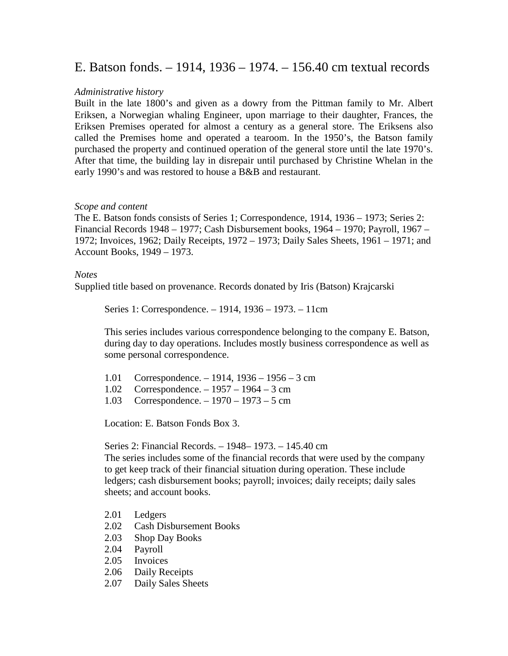## E. Batson fonds. – 1914, 1936 – 1974. – 156.40 cm textual records

## *Administrative history*

Built in the late 1800's and given as a dowry from the Pittman family to Mr. Albert Eriksen, a Norwegian whaling Engineer, upon marriage to their daughter, Frances, the Eriksen Premises operated for almost a century as a general store. The Eriksens also called the Premises home and operated a tearoom. In the 1950's, the Batson family purchased the property and continued operation of the general store until the late 1970's. After that time, the building lay in disrepair until purchased by Christine Whelan in the early 1990's and was restored to house a B&B and restaurant.

## *Scope and content*

The E. Batson fonds consists of Series 1; Correspondence, 1914, 1936 – 1973; Series 2: Financial Records 1948 – 1977; Cash Disbursement books, 1964 – 1970; Payroll, 1967 – 1972; Invoices, 1962; Daily Receipts, 1972 – 1973; Daily Sales Sheets, 1961 – 1971; and Account Books, 1949 – 1973.

## *Notes*

Supplied title based on provenance. Records donated by Iris (Batson) Krajcarski

Series 1: Correspondence. – 1914, 1936 – 1973. – 11cm

This series includes various correspondence belonging to the company E. Batson, during day to day operations. Includes mostly business correspondence as well as some personal correspondence.

|  | 1.01 Correspondence. $-1914$ , 1936 $-1956 - 3$ cm |  |  |  |  |
|--|----------------------------------------------------|--|--|--|--|
|--|----------------------------------------------------|--|--|--|--|

- 1.02 Correspondence. 1957 1964 3 cm
- 1.03 Correspondence. 1970 1973 5 cm

Location: E. Batson Fonds Box 3.

Series 2: Financial Records. – 1948– 1973. – 145.40 cm

The series includes some of the financial records that were used by the company to get keep track of their financial situation during operation. These include ledgers; cash disbursement books; payroll; invoices; daily receipts; daily sales sheets; and account books.

- 2.01 Ledgers
- 2.02 Cash Disbursement Books
- 2.03 Shop Day Books<br>2.04 Pavroll
- Payroll
- 2.05 Invoices
- 2.06 Daily Receipts
- 2.07 Daily Sales Sheets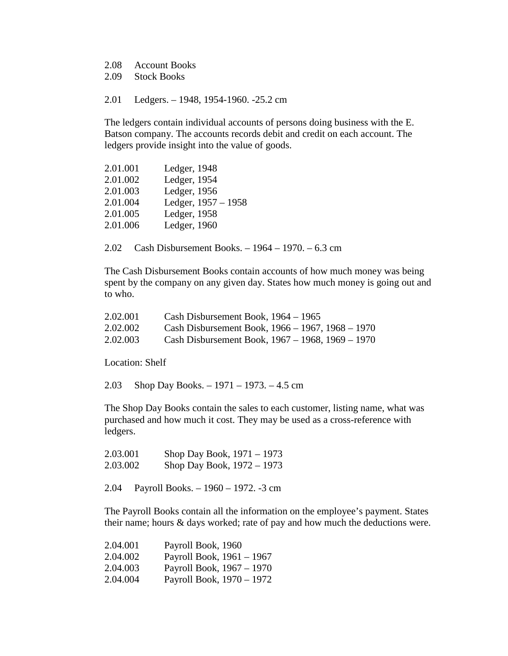2.08 Account Books

2.09 Stock Books

2.01 Ledgers. – 1948, 1954-1960. -25.2 cm

The ledgers contain individual accounts of persons doing business with the E. Batson company. The accounts records debit and credit on each account. The ledgers provide insight into the value of goods.

| 2.01.001 | Ledger, 1948        |
|----------|---------------------|
| 2.01.002 | Ledger, 1954        |
| 2.01.003 | Ledger, 1956        |
| 2.01.004 | Ledger, 1957 - 1958 |
| 2.01.005 | Ledger, 1958        |
| 2.01.006 | Ledger, 1960        |
|          |                     |

2.02 Cash Disbursement Books. – 1964 – 1970. – 6.3 cm

The Cash Disbursement Books contain accounts of how much money was being spent by the company on any given day. States how much money is going out and to who.

| 2.02.001 | Cash Disbursement Book, $1964 - 1965$            |
|----------|--------------------------------------------------|
| 2.02.002 | Cash Disbursement Book, 1966 – 1967, 1968 – 1970 |
| 2.02.003 | Cash Disbursement Book, 1967 – 1968, 1969 – 1970 |

Location: Shelf

2.03 Shop Day Books. – 1971 – 1973. – 4.5 cm

The Shop Day Books contain the sales to each customer, listing name, what was purchased and how much it cost. They may be used as a cross-reference with ledgers.

2.03.001 Shop Day Book, 1971 – 1973 2.03.002 Shop Day Book, 1972 – 1973

2.04 Payroll Books. – 1960 – 1972. -3 cm

The Payroll Books contain all the information on the employee's payment. States their name; hours & days worked; rate of pay and how much the deductions were.

| 2.04.001 | Payroll Book, 1960        |
|----------|---------------------------|
| 2.04.002 | Payroll Book, 1961 - 1967 |
| 2.04.003 | Payroll Book, 1967 - 1970 |
| 2.04.004 | Payroll Book, 1970 – 1972 |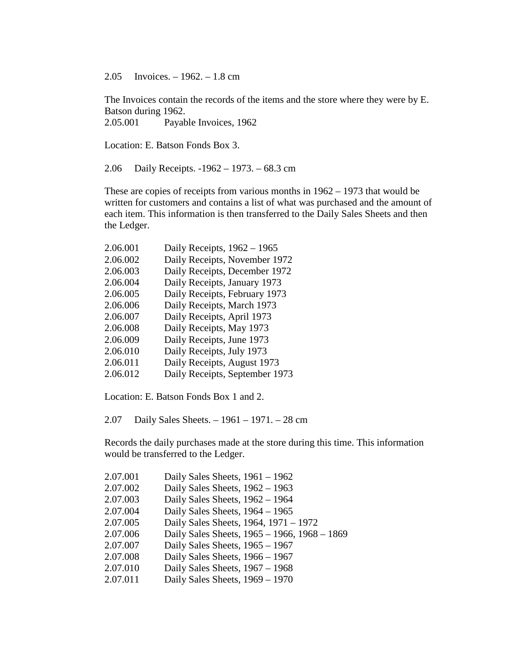2.05 Invoices. – 1962. – 1.8 cm

The Invoices contain the records of the items and the store where they were by E. Batson during 1962. 2.05.001 Payable Invoices, 1962

Location: E. Batson Fonds Box 3.

2.06 Daily Receipts. -1962 – 1973. – 68.3 cm

These are copies of receipts from various months in 1962 – 1973 that would be written for customers and contains a list of what was purchased and the amount of each item. This information is then transferred to the Daily Sales Sheets and then the Ledger.

| Daily Receipts, $1962 - 1965$  |
|--------------------------------|
| Daily Receipts, November 1972  |
| Daily Receipts, December 1972  |
| Daily Receipts, January 1973   |
| Daily Receipts, February 1973  |
| Daily Receipts, March 1973     |
| Daily Receipts, April 1973     |
| Daily Receipts, May 1973       |
| Daily Receipts, June 1973      |
| Daily Receipts, July 1973      |
| Daily Receipts, August 1973    |
| Daily Receipts, September 1973 |
|                                |

Location: E. Batson Fonds Box 1 and 2.

2.07 Daily Sales Sheets. – 1961 – 1971. – 28 cm

Records the daily purchases made at the store during this time. This information would be transferred to the Ledger.

| 2.07.001 | Daily Sales Sheets, $1961 - 1962$            |
|----------|----------------------------------------------|
| 2.07.002 | Daily Sales Sheets, $1962 - 1963$            |
| 2.07.003 | Daily Sales Sheets, $1962 - 1964$            |
| 2.07.004 | Daily Sales Sheets, $1964 - 1965$            |
| 2.07.005 | Daily Sales Sheets, 1964, 1971 – 1972        |
| 2.07.006 | Daily Sales Sheets, 1965 - 1966, 1968 - 1869 |
| 2.07.007 | Daily Sales Sheets, $1965 - 1967$            |
| 2.07.008 | Daily Sales Sheets, $1966 - 1967$            |
| 2.07.010 | Daily Sales Sheets, $1967 - 1968$            |
| 2.07.011 | Daily Sales Sheets, 1969 - 1970              |